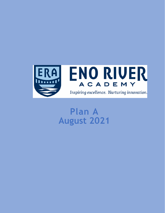

# **Plan A August 2021**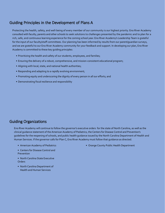### Guiding Principles in the Development of Plans A

Protecting the health, safety, and well-being of every member of our community is our highest priority. Eno River Academy consulted with faculty, parents and other schools to seek solutions to challenges presented by the pandemic and to plan for a rich, safe, and continuous learning experience for the coming school year. Eno River Academy's Leadership Team is grateful for the input of our faculty/staff committees. Our planning has been informed by results from our parent/guardian surveys, and we are grateful to our Eno River Academy community for your feedback and support. In developing our plan, Eno River Academy is committed to these key guiding principles:

- Prioritizing the health and safety of our students, employees, and families;
- Ensuring the delivery of a robust, comprehensive, and mission-consistent educational program;
- Aligning with local, state, and national health authorities;
- Responding and adapting to a rapidly evolving environment;
- Promoting equity and underscoring the dignity of every person in all our efforts; and
- Demonstrating fiscal resilience and responsibility

### Guiding Organizations

Eno River Academy will continue to follow the governor's executive orders for the state of North Carolina, as well as the clinical guidance statement of the American Academy of Pediatrics, the Centers for Disease Control and Prevention's guidelines for the reopening of schools, and public health guidance issued by the North Carolina Department of Health and Human Services. If the governor calls for Plan C, Eno River Academy must follow that guidance as directed.

- American Academy of Pediatrics
- Centers for Disease Control and Prevention
- North Carolina State Executive **Orders**
- North Carolina Department of Health and Human Services

• Orange County Public Health Department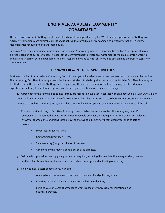### **ENO RIVER ACADEMY COMMUNITY COMMITMENT**

The novel coronavirus, COVID-19, has been declared a worldwide pandemic by the World Health Organization. COVID-19 is an extremely contagious communicable illness and is believed to spread mainly from person-to-person interactions. As such, responsibilities for public health are shared by all.

Eno River Academy Community Commitment, including an Acknowledgment of Responsibilities and an Assumption of Risk, is a direct extension of our core values. The goal of the Commitment is to create an environment to maximize comfort working and learning in person during a pandemic. Personal responsibility and care for all is crucial to establishing the trust necessary to come together.

#### **ACKNOWLEDGMENT OF RESPONSIBILITIES**

By signing the Eno River Academy Community Commitment, you acknowledge and agree that in order to remain enrolled at Eno River Academy, Eno River Academy expects families and students to abide by all expectations put forth by Eno River Academy in its efforts to limit the spread of COVID-19, including not only the current expectations set forth below, but also additional expectations that may be established by Eno River Academy in the future as circumstances change.

1. Agree not to bring your child to campus if they are feeling ill, have been in contact with anybody who is ill with COVID-19 or under self-quarantine, or exhibiting any of the symptoms described in the Return to School Policies document. If your child comes to school with any symptoms, you will be contacted and must pick up your student within 30 minutes of the call.

- 2. Consider self-identifying to Eno River Academy if your child (or household contact like a caregiver, parent/ guardian or grandparent) has a health condition that could put your child at higher risk from COVID-19, including by way of example the conditions listed below, so that we can discuss how best to keep your child as safe as possible:
	- Moderate to severe asthma,
	- Compromised immune system,
	- Severe obesity (body mass index of over 40),
	- Other underlying medical conditions such as diabetes.
- 3. Follow safety procedures and hygiene protocols as required, including the mandate that every student, teacher, staff and family member must wear a face mask when on campus and not eating or drinking.
- 4. Follow campus access expectations, including:
	- Abiding by all communicated and posted movement and gathering limits,
	- Entering and exiting buildings only through designated points,
	- Limiting your on-campus presence to what is absolutely necessary for educational and business purposes.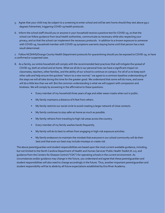- 5. Agree that your child may be subject to a screening to enter school and will be sent home should they test above 99.0 degrees Fahrenheit, triggering COVID-19 health protocols.
- 6. Inform the school staff should you or anyone in your household receive a positive test for COVID-19, so that the school can follow guidance from local health authorities, communicate as necessary while also respecting your privacy, and so that the school can implement the necessary protocols. In addition to a known exposure to someone with COVID-19, household member with COVID-19 symptoms warrants staying home until that person has a test result determined.

7. Follow NCDHHS/Orange County Health Department protocols for quarantining should you be exposed to COVID-19, or have a confirmed or suspected case.

- 8. As a family, our entire household will comply with the recommended best practices that will mitigate the spread of COVID-19, both at school and at home. What we all do in our personal lives can have a significant impact on classmates, teachers, other families, and the ability of our school to continue on campus. For all of us to keep each other safe and help ensure the quickest "return to a new normal," we agree to a common baseline understanding of the steps we will all take during this time for the greater good. We understand that some will do more, and some will do a little less than we will. But the common understanding is what we will support with compassion and kindness. We will comply by answering in the affirmative to these questions:
	- Every member of my household three years of age and older wears masks when out in public.
	- My family maintains a distance of 6 feet from others.
	- My family restricts our social circle to avoid creating a larger network of close contacts.
	- My family continues to stay safer-at-home as much as possible.
	- My family refrains from traveling to high risk areas across the country.
	- Every member of my family washes hands frequently.
	- My family will do its best to refrain from engaging in high-risk exposure activities.
	- My family endeavors to maintain the mindset that everyone in our school community will do their best and that even our best may include missteps or create risk.

The above parent/guardian and student responsibilities are based upon the most current available guidance, including, but not limited to the North Carolina Department of Health and Human Services'Public Health Toolkit (K-12), and guidance from the Centers for Disease Control ("CDC") for operating schools in the current environment. As circumstances and/or guidance may change in the future, you understand and agree that these parent/guardian and student responsibilities will also need to change accordingly in the future. Thus, another important parent/guardian and student responsibility will be to abide by all future expectations established by Eno River Academy.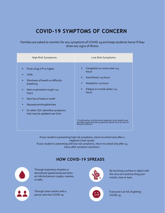# **COVID-19 SYMPTOMS OF CONCERN**

Families are asked to monitor for any symptoms of COVID-19 and keep students home if they show any signs of illness.

| High Risk Symptoms:                                                                                                                                                                                                                                          | Low Risk Symptoms:                                                                                                                             |
|--------------------------------------------------------------------------------------------------------------------------------------------------------------------------------------------------------------------------------------------------------------|------------------------------------------------------------------------------------------------------------------------------------------------|
| Fever of 99.0°F or higher<br>Chills<br>Shortness of breath or difficulty<br>breathing<br>New or persistent cough >24<br>hours<br>New loss of taste or smell<br>Nausea/vomiting/diarrhea<br>Or other CDC-identified symptoms<br>that may be updated over time | Congestion or runny nose >24<br>hours<br>Sore throat >24 hours<br>٠<br>Headache >24 hours<br>$\bullet$<br>Fatique or muscle aches >24<br>hours |
|                                                                                                                                                                                                                                                              | *Confirmation of alternative diagnosis from health care<br>provider explaining the symptoms above must be sent to<br>Division Director.        |

If your student is presenting high risk symptoms, return to school only after a negative Covid-19 test. If your student is presenting with low risk symptoms, return to school only after 24 hours after symptom resolution.

### **HOW COVID-19 SPREADS**



Through respiratory droplets or aerosolized spread produced when an infected person coughs, sneezes, or talks.

Through close contact with a person who has COVID-19.



By touching a surface or object with the virus on it and touching your mouth, nose or eyes.



Everyone is at risk of getting COVID-19.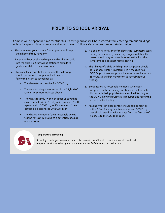### **PRIOR TO SCHOOL ARRIVAL**

Campus will be open full-time for studetns. Parent/guardians will be restricted from entering campus buildings unless for special circumstances (and would have to follow safety precautions as detailed below

- 1. Please monitor your student for symptoms and keep them home if they have any.
- 2. Parents will not be allowed to park and walk their child into the building. Staff will be stationed outside to guide your child to their classroom.
- 3. Students, faculty or staff who exhibit the following should not come to campus and will need to follow the return to school policy:
	- They have tested positive for COVID-19.
	- They are showing one or more of the 'high- risk' COVID-19 symptoms listed above*.*
	- They have recently (within the past 14 days) had close contact (within 6 feet, for ≥ 15 minutes) with a person with COVID-19, or if a member of their household is diagnosed with COVID-19.
	- They have a member of their household who is testing for COVID-19 due to a potential exposure or symptoms.
- 4. If a person has only one of the lower-risk symptoms (sore throat, muscle aches, headache, congestion) then the person should stay at home for observation for other symptoms and does not require testing.
- 5. The siblings of a child with high-risk symptoms should be kept home until it is determined if the child has COVID-19. If these symptoms improve or resolve within 24 hours, all children may return to school without testing.
- 6. Students or any household members who report symptoms in the screening questionnaire will need to discuss with their physician to determine if testing for the COVID-19 virus (PCR test) is required and follow the return to school policy.
- 7. Anyone who is in close contact (household contact or within 6 feet for ≥ 15 minutes) of a known COVID-19 case should stay home for 10 days from the first day of exposure to the COVID-19 case.



#### **Temperature Screening**

Screening is no longer necessary. If your child comes to the office with symptoms, we will check their temperature with a medical grade thmometer and notify if they must be checked out.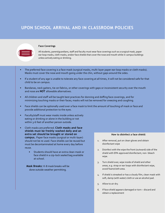### **UPON SCHOOL ARRIVAL AND IN CLASSROOM POLICIES**



#### **Face Coverings**

All students, parent/guardians, staff and faculty must wear face coverings such as a surgical mask, paper ear-loop masks, cloth masks, and/or face shields that cover the nose and mouth while in campus buildings unless actively eating or drinking.

- The preferred face covering is a face mask (surgical masks, multi-layer paper ear-loop masks or cloth masks). Masks must cover the nose and mouth going under the chin, without gaps around the sides.
- If a student of any age is unable to tolerate any face covering at all times, it will not be considered safe for that child to be on campus.
- Bandanas, neck gaiters, tie-on fabrics, or other coverings with gaps or inconsistent security over the mouth and nose are **NOT** allowable alternatives.
- All children and staff will be taught best practices for donning and doffing face coverings, and for minimizing touching masks or their faces; masks will not be removed for sneezing and coughing.
- Face shields can be optionally used over a face mask to limit the amount of touching of mask or face and provide additional protection to the eyes.
- Faculty/staff must wear masks inside unless actively eating or drinking or alone in the building or not within 3-6 feet of another person outside.
- Cloth masks are preferred. **Cloth masks and face shields must be freshly washed daily and an extra set should be brought or stored on campus.** Paper face masks (surgical or multi-layer) should not be re-used. Face shields can be reused but must be decontaminated at home every day before reuse.
	- Students should have an extra clean mask or face shield in a zip-lock sealed bag available at school.

**Mask Breaks:** K-8 mask breaks will be done outside weather permitting.

#### **How to disinfect a face shield:**

- 1. After removal, put on clean gloves and obtain disinfectant wipe
- 2. Disinfect with the wipe the front (outward) side of the shield with EPA-approved disinfectant, non- bleach wipe.
- 3. Turn shield over, wipe inside of shield and other areas, e.g. strap or ear loops with disinfectant wipe, avoid foam/cloth area.
- 4. If shield is streaked or has a cloudy film, clean mask with soft, damp (with water) cloth or use an alcohol pad.
- 5. Allow to air dry.
- 6. If face shield appears damaged or torn discard and obtain a replacement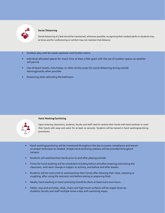

#### **Social Distancing**

Social distancing of 3 feet should be maintained, whenever possible, recognizing that masked adults or students may, at times and for conferencing or comfort may not maintain that distance.

- Outdoor play with be masks optional until further notice.
- Individual allocated spaces for snack time at least 3 feet apart with the use of outdoor spaces as weather will permit.
- Use of beach towels, hula hoops, or other similar props for social distancing during outside learning/snacks when possible.
- Distancing when attending the bathroom.



#### **Hand Washing/Sanitizing**

Upon entering classrooms, students, faculty and staff need to sanitize their hands with hand sanitizer or wash their hands with soap and water for at least 20 seconds. Students will be trained in hand washing/sanitizing procedures.

- Hand washing/sanitizing will be monitored throughout the day to assess compliance and retrain on proper technique as needed. Ample hand sanitizing stations will be provided throughout campus.
- Students will wash/sanitize hands prior to and after playing outside.
- Times for hand washing will be scheduled including before and after entering and exiting the classroom, with each change in subject or activity, and before and after breaks.
- Students will be instructed to wash/sanitize their hands after blowing their nose, sneezing or coughing; after using the restroom and before eating or preparing food.
- Ideally, hand washing or hand sanitizing should be done at least every two hours.
- Tables, toys and activities, desk, chairs and high touch surfaces will be wiped down by students, faculty and staff multiple times a day with sanitizing wipes.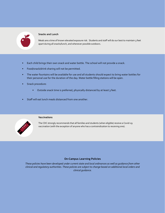

#### **Snacks and Lunch**

Meals are a time of known elevated exposure risk. Students and staff will do our best to maintain 3 feet apart during all snacks/lunch, and whenever possible outdoors.

- Each child brings their own snack and water bottle. The school will not provide a snack.
- Food/snack/drink sharing will not be permitted.
- The water fountains will be available for use and all students should expect to bring water bottles for their personal use for the duration of the day. Water bottle filling stations will be open.
- Snack procedure:
	- Outside snack time is preferred, physically distanced by at least 3 feet.
- Staff will eat lunch meals distanced from one another.



#### **Vaccinations**

The CDC strongly recommends that all families and students (when eligible) receive a Covid-19 vaccination (with the exception of anyone who has a contraindication to receiving one).

#### **On-Campus Learning Policies**

*These policies have been developed under current state and local ordinances as well as guidance from other clinical and regulatory authorities. These policies are subject to change based on additional local orders and clinical guidance.*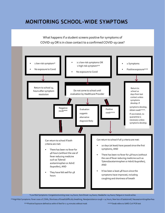## **MONITORING SCHOOL-WIDE SYMPTOMS**

What happens if a student screens positive for symptoms of COVID-19 OR is in close contact to a confirmed COVID-19 case?



\*\*High Risk Symptoms: Fever ≥100.0 F, Chills, Shortness of breath/difficulty breathing, New/persistence cough > 24 hours, New loss of taste/smell, Nausea/vomiting/diarrhea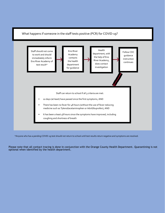#### What happens if someone in the staff tests positive (PCR) for COVID-19?



\*Anyone who has a pending COVID-19 test should not return to school until test results return negative and symptoms are resolved.

Please note that all contact tracing is done in conjunction with the Orange County Health Department. Quarantining is not optional when identified by the health department.